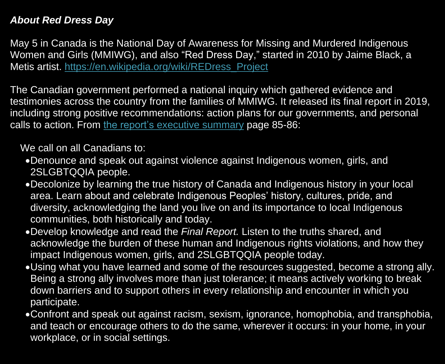## *About Red Dress Day*

The Canadian government performed a national inquiry which gathered evidence and testimonies across the country from the families of MMIWG. It released its final report in 2019, including strong positive recommendations: action plans for our governments, and personal calls to action. From [the report's executive summary](https://www.mmiwg-ffada.ca/wp-content/uploads/2019/06/Executive_Summary.pdf) page 85-86:

May 5 in Canada is the National Day of Awareness for Missing and Murdered Indigenous Women and Girls (MMIWG), and also "Red Dress Day, " started in 2010 by Jaime Black, a Metis artist. [https://en.wikipedia.org/wiki/REDress\\_Project](https://en.wikipedia.org/wiki/REDress_Project)

We call on all Canadians to:

- •Denounce and speak out against violence against Indigenous women, girls, and 2SLGBTQQIA people.
- •Decolonize by learning the true history of Canada and Indigenous history in your local area. Learn about and celebrate Indigenous Peoples' history, cultures, pride, and diversity, acknowledging the land you live on and its importance to local Indigenous communities, both historically and today.
- •Develop knowledge and read the *Final Report.* Listen to the truths shared, and acknowledge the burden of these human and Indigenous rights violations, and how they impact Indigenous women, girls, and 2SLGBTQQIA people today.
- •Using what you have learned and some of the resources suggested, become a strong ally. Being a strong ally involves more than just tolerance; it means actively working to break down barriers and to support others in every relationship and encounter in which you participate.
- •Confront and speak out against racism, sexism, ignorance, homophobia, and transphobia, and teach or encourage others to do the same, wherever it occurs: in your home, in your workplace, or in social settings.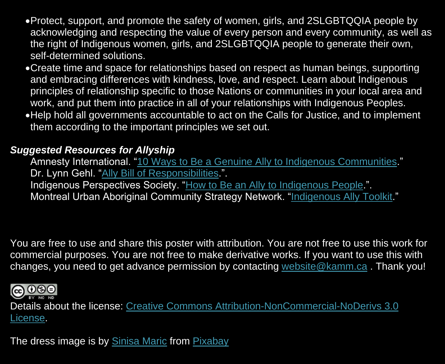- •Protect, support, and promote the safety of women, girls, and 2SLGBTQQIA people by acknowledging and respecting the value of every person and every community, as well as the right of Indigenous women, girls, and 2SLGBTQQIA people to generate their own, self-determined solutions.
- •Create time and space for relationships based on respect as human beings, supporting and embracing differences with kindness, love, and respect. Learn about Indigenous principles of relationship specific to those Nations or communities in your local area and work, and put them into practice in all of your relationships with Indigenous Peoples.
- •Help hold all governments accountable to act on the Calls for Justice, and to implement them according to the important principles we set out.

## *Suggested Resources for Allyship*

Amnesty International. ["10 Ways to Be a Genuine Ally to Indigenous Communities.](https://www.amnesty.org.au/10-ways-to-be-an-ally-to-indigenous-communities/)" Dr. Lynn Gehl. ["Ally Bill of Responsibilities.](http://www.lynngehl.com/uploads/5/0/0/4/5004954/ally_bill_of_responsibilities_poster.pdf)". Indigenous Perspectives Society. ["How to Be an Ally to Indigenous People.](https://ipsociety.ca/2017/04/how-to-be-an-ally-to-indigenous-people/)". Montreal Urban Aboriginal Community Strategy Network. ["Indigenous Ally Toolkit.](http://reseaumtlnetwork.com/wp-content/uploads/2019/04/Ally_March.pdf)"

You are free to use and share this poster with attribution. You are not free to use this work for commercial purposes. You are not free to make derivative works. If you want to use this with changes, you need to get advance permission by contacting [website@kamm.ca](mailto:website@kamm.ca) . Thank you!



Details about the license: [Creative Commons Attribution-NonCommercial-NoDerivs 3.0](https://creativecommons.org/licenses/by-nc-nd/3.0/)  [License.](https://creativecommons.org/licenses/by-nc-nd/3.0/)

The dress image is by [Sinisa Maric](https://pixabay.com/users/sinisamaric1-3044277/?utm_source=link-attribution&utm_medium=referral&utm_campaign=image&utm_content=1730320) from [Pixabay](https://pixabay.com/?utm_source=link-attribution&utm_medium=referral&utm_campaign=image&utm_content=1730320)